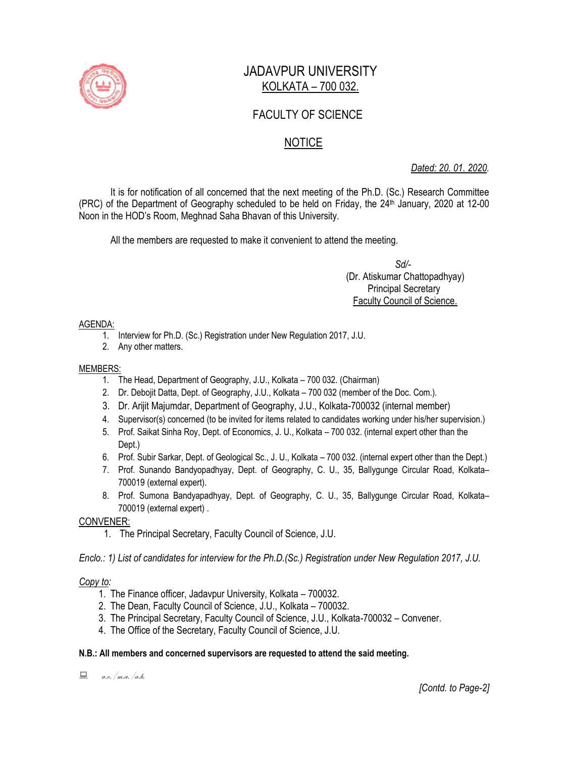

# JADAVPUR UNIVERSITY KOLKATA – 700 032.

# FACULTY OF SCIENCE

# NOTICE

*Dated: 20. 01. 2020.*

It is for notification of all concerned that the next meeting of the Ph.D. (Sc.) Research Committee (PRC) of the Department of Geography scheduled to be held on Friday, the 24<sup>th</sup> January, 2020 at 12-00 Noon in the HOD's Room, Meghnad Saha Bhavan of this University.

All the members are requested to make it convenient to attend the meeting.

 *Sd/-*  (Dr. Atiskumar Chattopadhyay) Principal Secretary Faculty Council of Science.

### AGENDA:

- 1. Interview for Ph.D. (Sc.) Registration under New Regulation 2017, J.U.
- 2. Any other matters.

### MEMBERS:

- 1. The Head, Department of Geography, J.U., Kolkata 700 032. (Chairman)
- 2. Dr. Debojit Datta, Dept. of Geography, J.U., Kolkata 700 032 (member of the Doc. Com.).
- 3. Dr. Arijit Majumdar, Department of Geography, J.U., Kolkata-700032 (internal member)
- 4. Supervisor(s) concerned (to be invited for items related to candidates working under his/her supervision.)
- 5. Prof. Saikat Sinha Roy, Dept. of Economics, J. U., Kolkata 700 032. (internal expert other than the Dept.)
- 6. Prof. Subir Sarkar, Dept. of Geological Sc., J. U., Kolkata 700 032. (internal expert other than the Dept.)
- 7. Prof. Sunando Bandyopadhyay, Dept. of Geography, C. U., 35, Ballygunge Circular Road, Kolkata– 700019 (external expert).
- 8. Prof. Sumona Bandyapadhyay, Dept. of Geography, C. U., 35, Ballygunge Circular Road, Kolkata– 700019 (external expert) .

### CONVENER:

1. The Principal Secretary, Faculty Council of Science, J.U.

*Enclo.: 1) List of candidates for interview for the Ph.D.(Sc.) Registration under New Regulation 2017, J.U.*

## *Copy to:*

- 1. The Finance officer, Jadavpur University, Kolkata 700032.
- 2. The Dean, Faculty Council of Science, J.U., Kolkata 700032.
- 3. The Principal Secretary, Faculty Council of Science, J.U., Kolkata-700032 Convener.
- 4. The Office of the Secretary, Faculty Council of Science, J.U.

### **N.B.: All members and concerned supervisors are requested to attend the said meeting.**

 $a.e.$ /m.a./a.b.